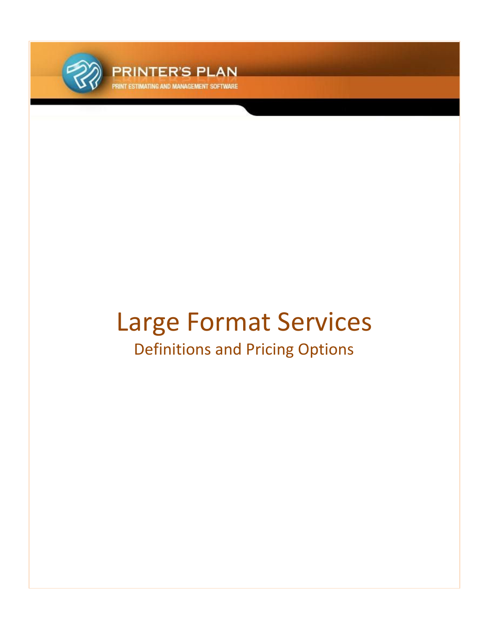

**PRINTER'S PLAN ND MANAGEMENT SOFTWARE** 

# Large Format Services Definitions and Pricing Options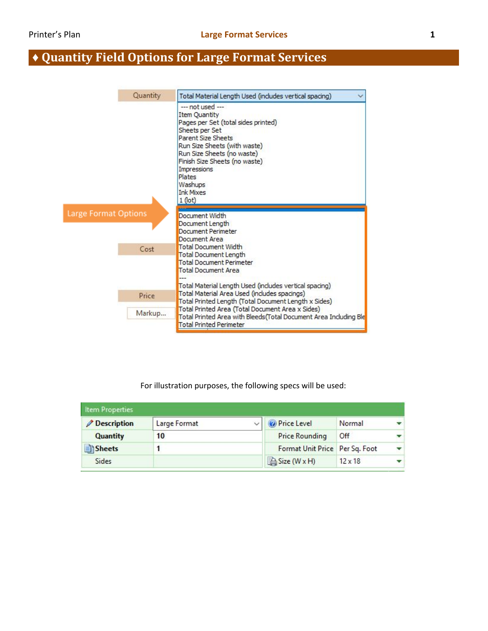# **♦ Quantity Field Options for Large Format Services**

| Quantity                    | Total Material Length Used (includes vertical spacing)                                                                                                                                                                                                                                                                    |
|-----------------------------|---------------------------------------------------------------------------------------------------------------------------------------------------------------------------------------------------------------------------------------------------------------------------------------------------------------------------|
|                             | --- not used ---<br>Item Quantity<br>Pages per Set (total sides printed)<br>Sheets per Set<br><b>Parent Size Sheets</b><br>Run Size Sheets (with waste)<br>Run Size Sheets (no waste)<br>Finish Size Sheets (no waste)<br>Impressions<br><b>Plates</b><br>Washups<br><b>Ink Mixes</b><br>$1$ (lot)                        |
| <b>Large Format Options</b> | Document Width<br>Document Length<br>Document Perimeter<br>Document Area                                                                                                                                                                                                                                                  |
| Cost                        | <b>Total Document Width</b><br>Total Document Length<br><b>Total Document Perimeter</b><br><b>Total Document Area</b>                                                                                                                                                                                                     |
| Price<br>Markup             | Total Material Length Used (includes vertical spacing)<br>Total Material Area Used (includes spacings)<br>Total Printed Length (Total Document Length x Sides)<br>Total Printed Area (Total Document Area x Sides)<br>Total Printed Area with Bleeds (Total Document Area Including Ble<br><b>Total Printed Perimeter</b> |

#### For illustration purposes, the following specs will be used:

| <b>Item Properties</b> |              |                                |                |  |
|------------------------|--------------|--------------------------------|----------------|--|
| <b>Description</b>     | Large Format | <b>O</b> Price Level           | Normal         |  |
| Quantity               | 10           | <b>Price Rounding</b>          | Off            |  |
| Sheets                 |              | Format Unit Price Per Sq. Foot |                |  |
| Sides                  |              | Size (W x H)                   | $12 \times 18$ |  |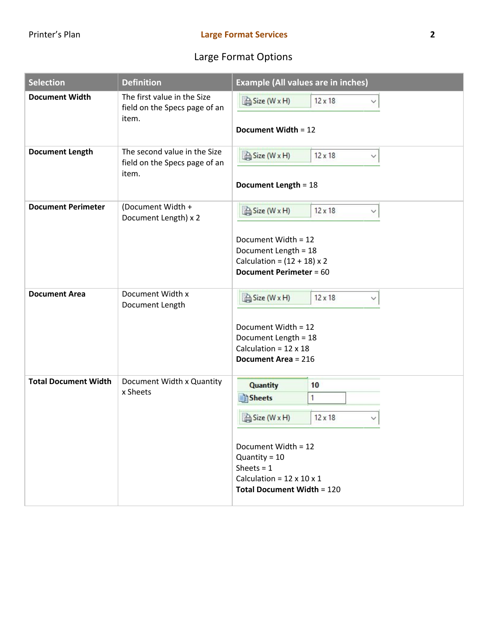# Large Format Options

| <b>Selection</b>            | <b>Definition</b>                                                      | <b>Example (All values are in inches)</b>                                                                                                                                                                      |
|-----------------------------|------------------------------------------------------------------------|----------------------------------------------------------------------------------------------------------------------------------------------------------------------------------------------------------------|
| <b>Document Width</b>       | The first value in the Size<br>field on the Specs page of an<br>item.  | Size (W x H)<br>$12 \times 18$<br>$\checkmark$<br>Document Width = 12                                                                                                                                          |
| <b>Document Length</b>      | The second value in the Size<br>field on the Specs page of an<br>item. | Size (W x H)<br>$12 \times 18$<br>◇<br>Document Length = 18                                                                                                                                                    |
| <b>Document Perimeter</b>   | (Document Width +<br>Document Length) x 2                              | Size (W x H)<br>$12 \times 18$<br>✓<br>Document Width = 12<br>Document Length = 18<br>Calculation = $(12 + 18) \times 2$<br><b>Document Perimeter = 60</b>                                                     |
| <b>Document Area</b>        | Document Width x<br>Document Length                                    | Size (W x H)<br>$12 \times 18$<br>∨<br>Document Width = 12<br>Document Length = 18<br>Calculation = $12 \times 18$<br><b>Document Area = 216</b>                                                               |
| <b>Total Document Width</b> | Document Width x Quantity<br>x Sheets                                  | <b>Quantity</b><br>10<br>Sheets<br>1<br>Size (W x H)<br>$12 \times 18$<br>Document Width = 12<br>Quantity = $10$<br>Sheets = $1$<br>Calculation = $12 \times 10 \times 1$<br><b>Total Document Width = 120</b> |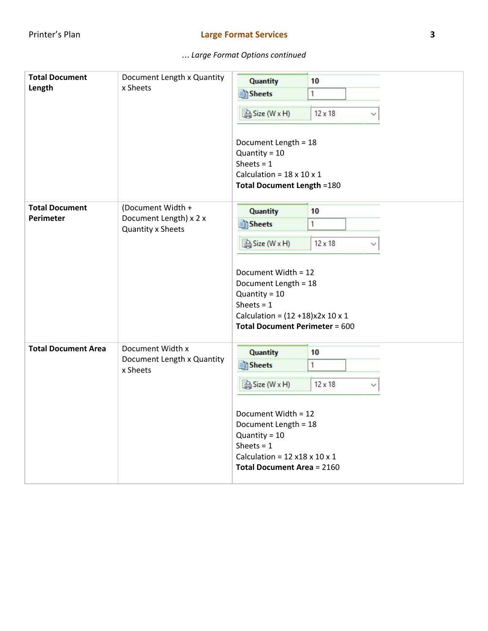| <b>Total Document</b>                                           | Document Length x Quantity<br>x Sheets | <b>Quantity</b>                                                                                                                                                        | 10             |
|-----------------------------------------------------------------|----------------------------------------|------------------------------------------------------------------------------------------------------------------------------------------------------------------------|----------------|
| Length                                                          |                                        | Sheets                                                                                                                                                                 | 1              |
|                                                                 |                                        | Size (W x H)                                                                                                                                                           | $12 \times 18$ |
|                                                                 |                                        | Document Length = 18<br>Quantity = $10$<br>Sheets = $1$<br>Calculation = $18 \times 10 \times 1$<br><b>Total Document Length = 180</b>                                 |                |
| <b>Total Document</b>                                           | (Document Width +                      | <b>Quantity</b>                                                                                                                                                        | 10             |
| <b>Perimeter</b><br>Document Length) x 2 x<br>Quantity x Sheets | <b>Sheets</b>                          | 1                                                                                                                                                                      |                |
|                                                                 |                                        |                                                                                                                                                                        |                |
|                                                                 |                                        | Size (W x H)                                                                                                                                                           | $12 \times 18$ |
|                                                                 |                                        | Document Width = 12<br>Document Length = 18<br>Quantity = $10$<br>Sheets = $1$<br>Calculation = $(12 + 18)x2x 10x 1$<br><b>Total Document Perimeter = 600</b>          |                |
| <b>Total Document Area</b>                                      | Document Width x                       | <b>Quantity</b>                                                                                                                                                        | 10             |
|                                                                 | Document Length x Quantity<br>x Sheets | <b>Sheets</b>                                                                                                                                                          | 1              |
|                                                                 |                                        | Size (W x H)                                                                                                                                                           | $12 \times 18$ |
|                                                                 |                                        | Document Width = 12<br>Document Length = 18<br>Quantity = $10$<br>Sheets = $1$<br>Calculation = $12 \times 18 \times 10 \times 1$<br><b>Total Document Area = 2160</b> |                |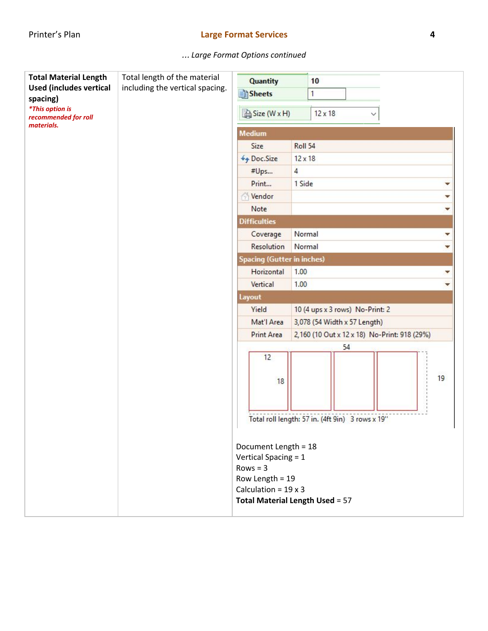| <b>Total Material Length</b>                   | Total length of the material    |                                        |                |                                                  |    |
|------------------------------------------------|---------------------------------|----------------------------------------|----------------|--------------------------------------------------|----|
| <b>Used (includes vertical</b>                 | including the vertical spacing. | <b>Quantity</b>                        |                | 10                                               |    |
| spacing)                                       |                                 | Sheets                                 |                | 1                                                |    |
| <i>*This option is</i><br>recommended for roll |                                 | Size (W x H)                           |                | $12 \times 18$                                   |    |
| materials.                                     |                                 | <b>Medium</b>                          |                |                                                  |    |
|                                                |                                 | Size                                   | Roll 54        |                                                  |    |
|                                                |                                 | ← Doc.Size                             | $12 \times 18$ |                                                  |    |
|                                                |                                 | #Ups                                   | $\overline{4}$ |                                                  |    |
|                                                |                                 | Print                                  | 1 Side         |                                                  |    |
|                                                |                                 | Vendor                                 |                |                                                  |    |
|                                                |                                 | Note                                   |                |                                                  |    |
|                                                |                                 | <b>Difficulties</b>                    |                |                                                  |    |
|                                                |                                 | Coverage                               | Normal         |                                                  | ▼  |
|                                                |                                 | Resolution                             | Normal         | v                                                |    |
|                                                |                                 | <b>Spacing (Gutter in inches)</b>      |                |                                                  |    |
|                                                |                                 | Horizontal                             | 1.00           |                                                  | ▼  |
|                                                |                                 | Vertical                               | 1.00           |                                                  |    |
|                                                |                                 | Layout                                 |                |                                                  |    |
|                                                |                                 | Yield                                  |                | 10 (4 ups x 3 rows) No-Print: 2                  |    |
|                                                |                                 | Mat'l Area                             |                | 3,078 (54 Width x 57 Length)                     |    |
|                                                |                                 | <b>Print Area</b>                      |                | 2,160 (10 Out x 12 x 18) No-Print: 918 (29%)     |    |
|                                                |                                 |                                        |                | 54                                               |    |
|                                                |                                 | 12                                     |                |                                                  |    |
|                                                |                                 |                                        |                |                                                  | 19 |
|                                                |                                 | 18                                     |                |                                                  |    |
|                                                |                                 |                                        |                |                                                  |    |
|                                                |                                 |                                        |                |                                                  |    |
|                                                |                                 |                                        |                | Total roll length: 57 in. (4ft 9in) 3 rows x 19" |    |
|                                                |                                 |                                        |                |                                                  |    |
|                                                |                                 | Document Length = 18                   |                |                                                  |    |
|                                                |                                 | Vertical Spacing = 1<br>$Rows = 3$     |                |                                                  |    |
|                                                |                                 | Row Length = 19                        |                |                                                  |    |
|                                                |                                 | Calculation = $19 \times 3$            |                |                                                  |    |
|                                                |                                 | <b>Total Material Length Used = 57</b> |                |                                                  |    |
|                                                |                                 |                                        |                |                                                  |    |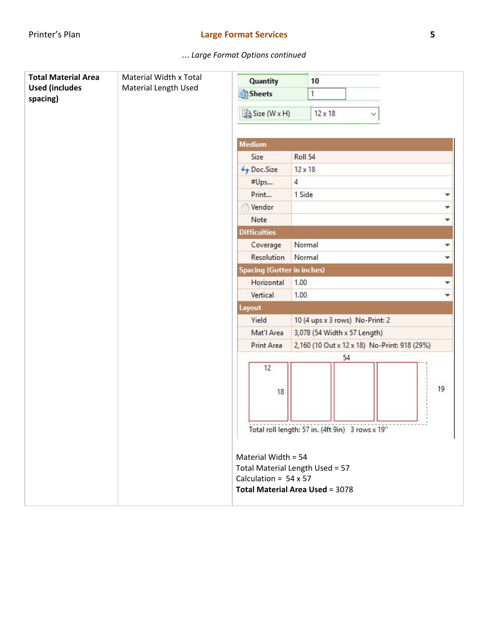| <b>Total Material Area</b> | Material Width x Total | Quantity                                                                                                                         |                | 10                                               |   |   |    |
|----------------------------|------------------------|----------------------------------------------------------------------------------------------------------------------------------|----------------|--------------------------------------------------|---|---|----|
| <b>Used (includes</b>      | Material Length Used   | Sheets                                                                                                                           |                | 1                                                |   |   |    |
| spacing)                   |                        | Size (W x H)                                                                                                                     |                | $12 \times 18$                                   | ∨ |   |    |
|                            |                        | <b>Medium</b>                                                                                                                    |                |                                                  |   |   |    |
|                            |                        | Size                                                                                                                             | Roll 54        |                                                  |   |   |    |
|                            |                        | Doc.Size                                                                                                                         | $12 \times 18$ |                                                  |   |   |    |
|                            |                        | #Ups                                                                                                                             | $\overline{4}$ |                                                  |   |   |    |
|                            |                        | Print                                                                                                                            | 1 Side         |                                                  |   | v |    |
|                            |                        | Vendor                                                                                                                           |                |                                                  |   |   | ▼  |
|                            |                        | Note                                                                                                                             |                |                                                  |   |   | v. |
|                            |                        | <b>Difficulties</b>                                                                                                              |                |                                                  |   |   |    |
|                            |                        | Coverage                                                                                                                         | Normal         |                                                  |   |   | ▼  |
|                            |                        | Resolution                                                                                                                       | Normal         |                                                  |   | v |    |
|                            |                        | Spacing (Gutter in inches)                                                                                                       |                |                                                  |   |   |    |
|                            |                        | Horizontal                                                                                                                       | 1.00<br>1.00   |                                                  |   | ▼ |    |
|                            |                        | Vertical                                                                                                                         |                |                                                  |   | ۰ |    |
|                            |                        | Layout                                                                                                                           |                |                                                  |   |   |    |
|                            |                        | Yield<br>10 (4 ups x 3 rows) No-Print: 2                                                                                         |                |                                                  |   |   |    |
|                            |                        | Mat'l Area                                                                                                                       |                | 3,078 (54 Width x 57 Length)                     |   |   |    |
|                            |                        | <b>Print Area</b>                                                                                                                |                | 2,160 (10 Out x 12 x 18) No-Print: 918 (29%)     |   |   |    |
|                            |                        |                                                                                                                                  |                | 54                                               |   |   |    |
|                            |                        | 12<br>18                                                                                                                         |                |                                                  |   |   | 19 |
|                            |                        |                                                                                                                                  |                | Total roll length: 57 in. (4ft 9in) 3 rows x 19" |   |   |    |
|                            |                        | Material Width = 54<br>Total Material Length Used = 57<br>Calculation = $54 \times 57$<br><b>Total Material Area Used = 3078</b> |                |                                                  |   |   |    |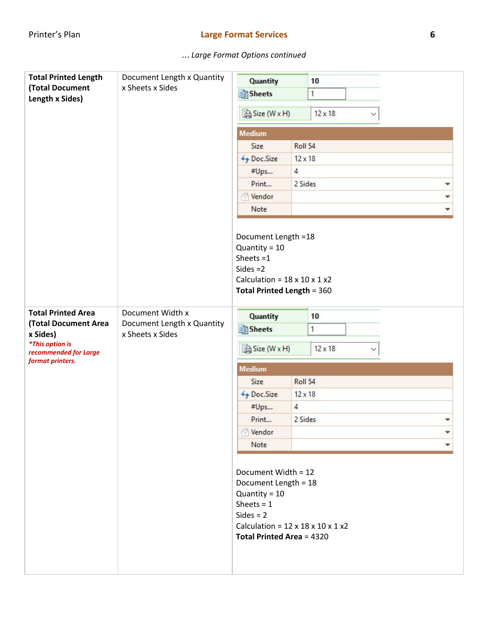| <b>Total Printed Length</b><br><b>(Total Document</b><br>Length x Sides) | Document Length x Quantity<br>x Sheets x Sides | <b>Quantity</b><br>10<br>Sheets<br>$\mathbf{1}$<br>Size (W x H)<br>$12 \times 18$<br><b>Medium</b>                                                                                            |                |                |  |   |
|--------------------------------------------------------------------------|------------------------------------------------|-----------------------------------------------------------------------------------------------------------------------------------------------------------------------------------------------|----------------|----------------|--|---|
|                                                                          |                                                | Size                                                                                                                                                                                          | Roll 54        |                |  |   |
| <b>Total Printed Area</b><br>Document Width x                            |                                                | Doc.Size                                                                                                                                                                                      | $12 \times 18$ |                |  |   |
|                                                                          |                                                | #Ups                                                                                                                                                                                          | $\overline{4}$ |                |  |   |
|                                                                          |                                                | Print                                                                                                                                                                                         | 2 Sides        |                |  | v |
|                                                                          |                                                | Vendor                                                                                                                                                                                        |                |                |  |   |
|                                                                          |                                                | Note                                                                                                                                                                                          |                |                |  |   |
|                                                                          |                                                | Quantity = $10$<br>Sheets $=1$<br>Sides $=2$<br>Calculation = $18 \times 10 \times 1 \times 2$<br><b>Total Printed Length = 360</b>                                                           |                | 10             |  |   |
| <b>(Total Document Area</b>                                              | Document Length x Quantity                     | <b>Quantity</b>                                                                                                                                                                               |                | 1              |  |   |
| x Sides)<br><i>*This option is</i><br>recommended for Large              | x Sheets x Sides                               | Sheets<br>Size (W x H)                                                                                                                                                                        |                | $12 \times 18$ |  |   |
| format printers.                                                         |                                                | <b>Medium</b>                                                                                                                                                                                 |                |                |  |   |
|                                                                          |                                                | Size                                                                                                                                                                                          | Roll 54        |                |  |   |
|                                                                          |                                                | Doc.Size                                                                                                                                                                                      | $12 \times 18$ |                |  |   |
|                                                                          |                                                | #Ups                                                                                                                                                                                          | $\overline{4}$ |                |  |   |
|                                                                          |                                                | Print                                                                                                                                                                                         | 2 Sides        |                |  |   |
|                                                                          |                                                | Vendor                                                                                                                                                                                        |                |                |  |   |
|                                                                          |                                                | Note                                                                                                                                                                                          |                |                |  |   |
|                                                                          |                                                | Document Width = 12<br>Document Length = 18<br>Quantity = $10$<br>Sheets = $1$<br>$Sides = 2$<br>Calculation = $12 \times 18 \times 10 \times 1 \times 2$<br><b>Total Printed Area = 4320</b> |                |                |  |   |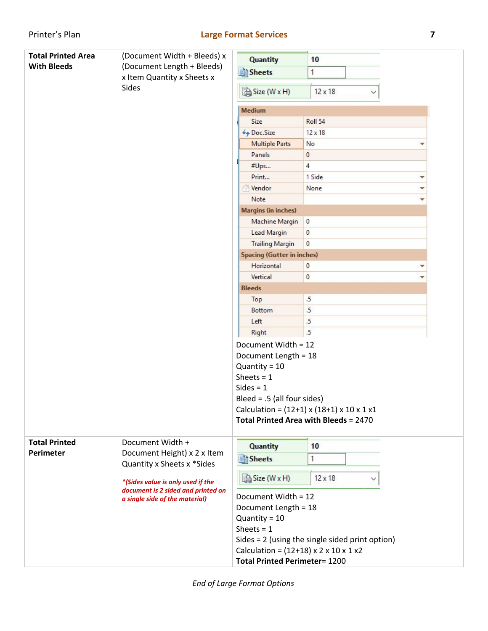| <b>Total Printed Area</b>         | (Document Width + Bleeds) x                                          |                                                                                                                                   |                                                                                        |  |  |  |  |
|-----------------------------------|----------------------------------------------------------------------|-----------------------------------------------------------------------------------------------------------------------------------|----------------------------------------------------------------------------------------|--|--|--|--|
| <b>With Bleeds</b>                | (Document Length + Bleeds)                                           | <b>Quantity</b>                                                                                                                   | 10                                                                                     |  |  |  |  |
|                                   | x Item Quantity x Sheets x                                           | Sheets                                                                                                                            | 1                                                                                      |  |  |  |  |
|                                   | Sides                                                                | Size (W x H)                                                                                                                      | $12 \times 18$                                                                         |  |  |  |  |
|                                   |                                                                      | <b>Medium</b>                                                                                                                     |                                                                                        |  |  |  |  |
|                                   |                                                                      | Size                                                                                                                              | Roll 54                                                                                |  |  |  |  |
|                                   |                                                                      | ++ Doc.Size                                                                                                                       | $12 \times 18$                                                                         |  |  |  |  |
|                                   |                                                                      | <b>Multiple Parts</b>                                                                                                             | No                                                                                     |  |  |  |  |
|                                   |                                                                      | Panels                                                                                                                            | 0                                                                                      |  |  |  |  |
|                                   |                                                                      | #Ups                                                                                                                              | 4                                                                                      |  |  |  |  |
|                                   |                                                                      | Print                                                                                                                             | 1 Side<br>v                                                                            |  |  |  |  |
|                                   |                                                                      | Vendor                                                                                                                            | None<br>v                                                                              |  |  |  |  |
|                                   |                                                                      | Note                                                                                                                              |                                                                                        |  |  |  |  |
|                                   |                                                                      | <b>Margins (in inches)</b>                                                                                                        |                                                                                        |  |  |  |  |
|                                   |                                                                      | <b>Machine Margin</b>                                                                                                             | $\overline{0}$                                                                         |  |  |  |  |
|                                   |                                                                      | <b>Lead Margin</b>                                                                                                                | $\mathbf{0}$                                                                           |  |  |  |  |
|                                   |                                                                      | <b>Trailing Margin</b>                                                                                                            | $\bf{0}$                                                                               |  |  |  |  |
|                                   |                                                                      | <b>Spacing (Gutter in inches)</b>                                                                                                 |                                                                                        |  |  |  |  |
|                                   |                                                                      | Horizontal                                                                                                                        | $\bf{0}$                                                                               |  |  |  |  |
|                                   |                                                                      | Vertical                                                                                                                          | $\bf{0}$                                                                               |  |  |  |  |
|                                   |                                                                      | <b>Bleeds</b>                                                                                                                     |                                                                                        |  |  |  |  |
|                                   |                                                                      | Top                                                                                                                               | $.5\phantom{0}$                                                                        |  |  |  |  |
|                                   |                                                                      | <b>Bottom</b>                                                                                                                     | .5                                                                                     |  |  |  |  |
|                                   |                                                                      | Left                                                                                                                              | $.5\phantom{0}$                                                                        |  |  |  |  |
|                                   |                                                                      | <b>Right</b>                                                                                                                      | .5                                                                                     |  |  |  |  |
|                                   |                                                                      | Document Width = 12<br>Document Length = 18<br>Quantity = $10$<br>Sheets = $1$<br>$Sides = 1$<br>Bleed = $.5$ (all four sides)    | Calculation = $(12+1)$ x $(18+1)$ x 10 x 1 x1<br>Total Printed Area with Bleeds = 2470 |  |  |  |  |
| <b>Total Printed</b><br>Perimeter | Document Width +<br>Document Height) x 2 x Item                      | <b>Quantity</b>                                                                                                                   | 10                                                                                     |  |  |  |  |
|                                   | Quantity x Sheets x *Sides                                           | Sheets                                                                                                                            | 1                                                                                      |  |  |  |  |
| *(Sides value is only used if the | Size (W x H)<br>$12 \times 18$                                       |                                                                                                                                   |                                                                                        |  |  |  |  |
|                                   | document is 2 sided and printed on<br>a single side of the material) | Document Width = 12                                                                                                               |                                                                                        |  |  |  |  |
|                                   |                                                                      | Document Length = 18                                                                                                              |                                                                                        |  |  |  |  |
|                                   |                                                                      | Quantity = $10$                                                                                                                   |                                                                                        |  |  |  |  |
|                                   |                                                                      | Sheets = $1$<br>Sides $= 2$ (using the single sided print option)<br>Calculation = $(12+18) \times 2 \times 10 \times 1 \times 2$ |                                                                                        |  |  |  |  |
|                                   |                                                                      |                                                                                                                                   |                                                                                        |  |  |  |  |
|                                   |                                                                      |                                                                                                                                   |                                                                                        |  |  |  |  |
|                                   |                                                                      | <b>Total Printed Perimeter= 1200</b>                                                                                              |                                                                                        |  |  |  |  |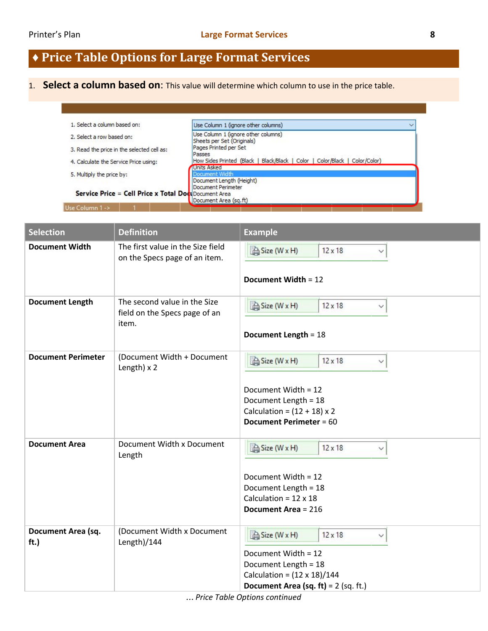# **♦ Price Table Options for Large Format Services**

# 1. **Select a column based on**: This value will determine which column to use in the price table.

| 2. Select a row based on:                                                        |                                                                             |
|----------------------------------------------------------------------------------|-----------------------------------------------------------------------------|
|                                                                                  | Use Column 1 (ignore other columns)<br>Sheets per Set (Originals)           |
| Pages Printed per Set<br>3. Read the price in the selected cell as:<br>Passes    |                                                                             |
| 4. Calculate the Service Price using:                                            | How Sides Printed (Black   Black/Black   Color   Color/Black   Color/Color) |
| Units Asked<br>Document Width<br>5. Multiply the price by:                       |                                                                             |
| Document Perimeter                                                               | Document Length (Height)                                                    |
| <b>Service Price = Cell Price x Total Document Area</b><br>Document Area (sq.ft) |                                                                             |

| <b>Selection</b>           | <b>Definition</b>                                                      | <b>Example</b>                                                                                                                                                                |
|----------------------------|------------------------------------------------------------------------|-------------------------------------------------------------------------------------------------------------------------------------------------------------------------------|
| <b>Document Width</b>      | The first value in the Size field<br>on the Specs page of an item.     | Size (W x H)<br>$12 \times 18$<br>✓<br>Document Width = 12                                                                                                                    |
| <b>Document Length</b>     | The second value in the Size<br>field on the Specs page of an<br>item. | Size (W x H)<br>$12 \times 18$<br>◇<br><b>Document Length = 18</b>                                                                                                            |
| <b>Document Perimeter</b>  | (Document Width + Document<br>Length) $\times$ 2                       | Size (W x H)<br>$12 \times 18$<br>✓<br>Document Width = 12<br>Document Length = 18<br>Calculation = $(12 + 18) \times 2$<br><b>Document Perimeter = 60</b>                    |
| <b>Document Area</b>       | Document Width x Document<br>Length                                    | Size (W x H)<br>$12 \times 18$<br>✓<br>Document Width = 12<br>Document Length = 18<br>Calculation = $12 \times 18$<br><b>Document Area = 216</b>                              |
| Document Area (sq.<br>ft.) | (Document Width x Document<br>Length $)/144$                           | Size (W x H)<br>$12 \times 18$<br>$\checkmark$<br>Document Width = 12<br>Document Length = 18<br>Calculation = $(12 \times 18)/144$<br>Document Area (sq. ft) = $2$ (sq. ft.) |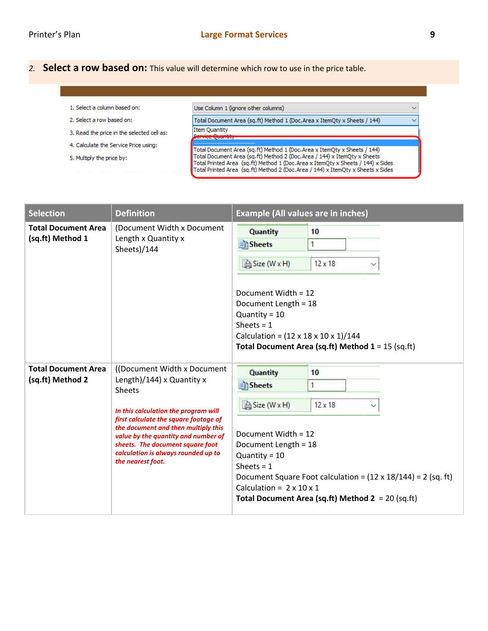*2.* **Select a row based on:** This value will determine which row to use in the price table.

- 1. Select a column based on:
- 2. Select a row based on:
- 3. Read the price in the selected cell as:
- 4. Calculate the Service Price using:
- 5. Multiply the price by:

Use Column 1 (ignore other columns)

**rvice Quantity** 

Total Document Area (sq.ft) Method 1 (Doc.Area x ItemQty x Sheets / 144) Item Quantity

Total Document Area (sq.ft) Method 1 (Doc.Area x ItemQty x Sheets / 144)<br>Total Document Area (sq.ft) Method 2 (Doc.Area / 144) x ItemQty x Sheets Total Printed Area (sq.ft) Method 1 (Doc.Area x ItemQty x Sheets / 144) x Sides Total Printed Area (sq.ft) Method 2 (Doc.Area / 144) x ItemOty x Sheets x Sides

| <b>Selection</b>                               | <b>Definition</b>                                                                                                                                                                                                                                                                                                                         | <b>Example (All values are in inches)</b>                                                                                                                                                                                                                                  |                                                                                                                                                     |  |  |  |
|------------------------------------------------|-------------------------------------------------------------------------------------------------------------------------------------------------------------------------------------------------------------------------------------------------------------------------------------------------------------------------------------------|----------------------------------------------------------------------------------------------------------------------------------------------------------------------------------------------------------------------------------------------------------------------------|-----------------------------------------------------------------------------------------------------------------------------------------------------|--|--|--|
| <b>Total Document Area</b><br>(sq.ft) Method 1 | (Document Width x Document<br>Length x Quantity x<br>Sheets)/144                                                                                                                                                                                                                                                                          | <b>Quantity</b><br>10<br><b>Sheets</b><br>Size (W x H)<br>$12 \times 18$<br>Document Width = 12<br>Document Length = 18<br>Quantity = $10$<br>Sheets = $1$<br>Calculation = $(12 \times 18 \times 10 \times 1)/144$<br>Total Document Area (sq.ft) Method $1 = 15$ (sq.ft) |                                                                                                                                                     |  |  |  |
| <b>Total Document Area</b><br>(sq.ft) Method 2 | ((Document Width x Document)<br>Length)/144) x Quantity x<br><b>Sheets</b><br>In this calculation the program will<br>first calculate the square footage of<br>the document and then multiply this<br>value by the quantity and number of<br>sheets. The document square foot<br>calculation is always rounded up to<br>the nearest foot. | <b>Quantity</b><br>Sheets<br>Size (W x H)<br>Document Width = 12<br>Document Length = 18<br>Quantity = $10$<br>Sheets = $1$<br>Calculation = $2 \times 10 \times 1$                                                                                                        | 10<br>$12 \times 18$<br>Document Square Foot calculation = $(12 \times 18/144)$ = 2 (sq. ft)<br>Total Document Area (sq.ft) Method $2 = 20$ (sq.ft) |  |  |  |

 $\checkmark$ 

Ų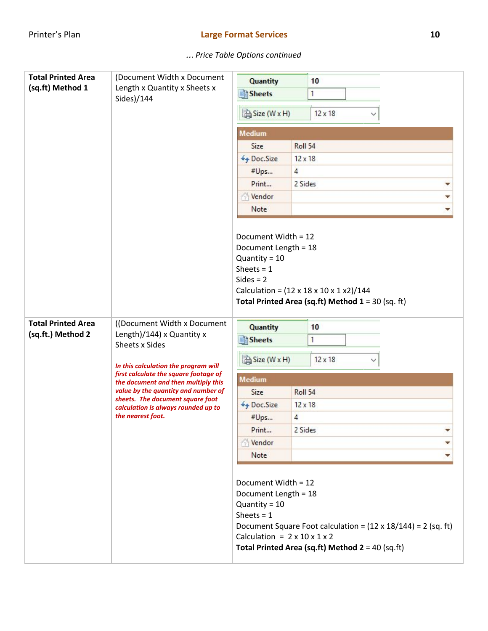| <b>Total Printed Area</b>                                                                                   | (Document Width x Document                                                                                                                                                                                                                          | <b>Quantity</b>                                                                                                                                                                                                                                               |                | 10             |  |  |  |
|-------------------------------------------------------------------------------------------------------------|-----------------------------------------------------------------------------------------------------------------------------------------------------------------------------------------------------------------------------------------------------|---------------------------------------------------------------------------------------------------------------------------------------------------------------------------------------------------------------------------------------------------------------|----------------|----------------|--|--|--|
| (sq.ft) Method 1                                                                                            | Length x Quantity x Sheets x                                                                                                                                                                                                                        | <b>Sheets</b>                                                                                                                                                                                                                                                 |                | 1              |  |  |  |
|                                                                                                             | Sides)/144                                                                                                                                                                                                                                          |                                                                                                                                                                                                                                                               |                |                |  |  |  |
|                                                                                                             |                                                                                                                                                                                                                                                     | Size (W x H)<br>$12 \times 18$<br>$\check{ }$                                                                                                                                                                                                                 |                |                |  |  |  |
|                                                                                                             |                                                                                                                                                                                                                                                     | <b>Medium</b>                                                                                                                                                                                                                                                 |                |                |  |  |  |
|                                                                                                             |                                                                                                                                                                                                                                                     | Size                                                                                                                                                                                                                                                          | Roll 54        |                |  |  |  |
|                                                                                                             |                                                                                                                                                                                                                                                     | ++ Doc.Size                                                                                                                                                                                                                                                   | $12 \times 18$ |                |  |  |  |
|                                                                                                             |                                                                                                                                                                                                                                                     | #Ups                                                                                                                                                                                                                                                          | $\overline{4}$ |                |  |  |  |
|                                                                                                             |                                                                                                                                                                                                                                                     | Print                                                                                                                                                                                                                                                         | 2 Sides        |                |  |  |  |
|                                                                                                             |                                                                                                                                                                                                                                                     | Vendor                                                                                                                                                                                                                                                        |                |                |  |  |  |
|                                                                                                             |                                                                                                                                                                                                                                                     | Note                                                                                                                                                                                                                                                          |                |                |  |  |  |
| <b>Total Printed Area</b><br>((Document Width x Document)<br>(sq.ft.) Method 2<br>Length)/144) x Quantity x | Document Width = 12<br>Document Length = 18<br>Quantity = $10$<br>Sheets = $1$<br>$Sides = 2$<br>Calculation = $(12 \times 18 \times 10 \times 1 \times 2)/144$<br>Total Printed Area (sq.ft) Method $1 = 30$ (sq. ft)<br><b>Quantity</b><br>Sheets |                                                                                                                                                                                                                                                               | 10<br>1        |                |  |  |  |
|                                                                                                             | Sheets x Sides                                                                                                                                                                                                                                      |                                                                                                                                                                                                                                                               |                |                |  |  |  |
|                                                                                                             | In this calculation the program will                                                                                                                                                                                                                | Size (W x H)                                                                                                                                                                                                                                                  |                | $12 \times 18$ |  |  |  |
|                                                                                                             | first calculate the square footage of<br>the document and then multiply this                                                                                                                                                                        | <b>Medium</b>                                                                                                                                                                                                                                                 |                |                |  |  |  |
|                                                                                                             | value by the quantity and number of<br>sheets. The document square foot                                                                                                                                                                             | Size                                                                                                                                                                                                                                                          | Roll 54        |                |  |  |  |
|                                                                                                             | calculation is always rounded up to                                                                                                                                                                                                                 | ++ Doc.Size                                                                                                                                                                                                                                                   | $12 \times 18$ |                |  |  |  |
|                                                                                                             | the nearest foot.                                                                                                                                                                                                                                   | #Ups                                                                                                                                                                                                                                                          | 4              |                |  |  |  |
|                                                                                                             |                                                                                                                                                                                                                                                     | Print                                                                                                                                                                                                                                                         | 2 Sides        |                |  |  |  |
|                                                                                                             |                                                                                                                                                                                                                                                     | Vendor                                                                                                                                                                                                                                                        |                |                |  |  |  |
|                                                                                                             |                                                                                                                                                                                                                                                     | Note                                                                                                                                                                                                                                                          |                |                |  |  |  |
|                                                                                                             |                                                                                                                                                                                                                                                     | Document Width = 12<br>Document Length = 18<br>Quantity = $10$<br>Sheets = $1$<br>Document Square Foot calculation = $(12 \times 18/144)$ = 2 (sq. ft)<br>Calculation = $2 \times 10 \times 1 \times 2$<br>Total Printed Area (sq.ft) Method $2 = 40$ (sq.ft) |                |                |  |  |  |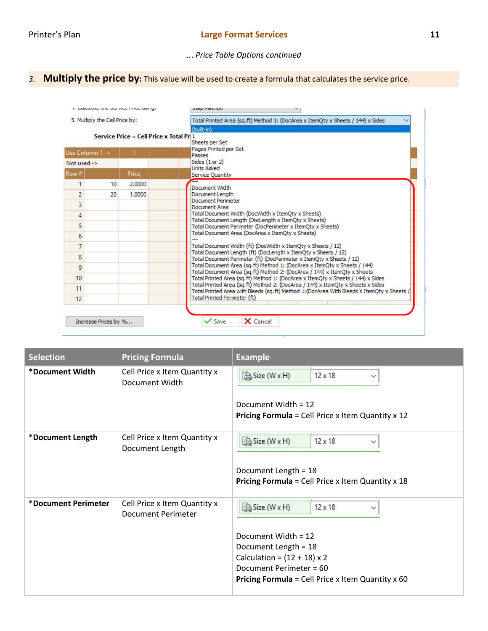### … *Price Table Options continued*

# *3.* **Multiply the price by:** This value will be used to create a formula that calculates the service price.

| 5. Multiply the Cell Price by:<br>Service Price = Cell Price x Total Pr 1 |    |        | Total Printed Area (sq.ft) Method 1: (DocArea x ItemOty x Sheets / 144) x Sides<br>(built-in)<br>Sheets per Set                                             |  |  |  |  |
|---------------------------------------------------------------------------|----|--------|-------------------------------------------------------------------------------------------------------------------------------------------------------------|--|--|--|--|
| Use Column 1 -><br>Not used $\rightarrow$                                 |    |        | Pages Printed per Set<br>Passes                                                                                                                             |  |  |  |  |
|                                                                           |    |        | Sides (1 or 2)<br><b>Units Asked</b>                                                                                                                        |  |  |  |  |
| Row#                                                                      |    | Price  | Service Ouantity                                                                                                                                            |  |  |  |  |
| 1                                                                         | 10 | 2,0000 | Document Width                                                                                                                                              |  |  |  |  |
| $\overline{2}$                                                            | 20 | 1.0000 | Document Length                                                                                                                                             |  |  |  |  |
| 3                                                                         |    |        | Document Perimeter<br>Document Area                                                                                                                         |  |  |  |  |
| 4                                                                         |    |        | Total Document Width (DocWidth x ItemOty x Sheets)                                                                                                          |  |  |  |  |
| 5                                                                         |    |        | Total Document Length (DocLength x ItemOty x Sheets)<br>Total Document Perimeter (DocPerimeter x ItemQty x Sheets)                                          |  |  |  |  |
| 6                                                                         |    |        | Total Document Area (DocArea x ItemOty x Sheets)                                                                                                            |  |  |  |  |
| 7                                                                         |    |        | Total Document Width (ft) (DocWidth x ItemOty x Sheets / 12)                                                                                                |  |  |  |  |
| 8                                                                         |    |        | Total Document Length (ft) (DocLength x ItemQty x Sheets / 12)<br>Total Document Perimeter (ft) (DocPerimeter x ItemQty x Sheets / 12)                      |  |  |  |  |
| 9                                                                         |    |        | Total Document Area (sq.ft) Method 1: (DocArea x ItemQty x Sheets / 144)                                                                                    |  |  |  |  |
| 10                                                                        |    |        | Total Document Area (sq.ft) Method 2: (DocArea / 144) x ItemQty x Sheets<br>Total Printed Area (sq.ft) Method 1: (DocArea x ItemQty x Sheets / 144) x Sides |  |  |  |  |
| 11                                                                        |    |        | Total Printed Area (sq.ft) Method 2: (DocArea / 144) x ItemQty x Sheets x Sides                                                                             |  |  |  |  |
| 12                                                                        |    |        | Total Printed Area with Bleeds (sq.ft) Method 1: (DocArea With Bleeds X ItemOty x Sheets /<br>Total Printed Perimeter (ft)                                  |  |  |  |  |

| <b>Selection</b>    | <b>Pricing Formula</b>                                    | <b>Example</b>                                                                                                                                                                                                             |  |  |
|---------------------|-----------------------------------------------------------|----------------------------------------------------------------------------------------------------------------------------------------------------------------------------------------------------------------------------|--|--|
| *Document Width     | Cell Price x Item Quantity x<br>Document Width            | Size (W x H)<br>$12 \times 18$<br>$\checkmark$<br>Document Width = $12$<br><b>Pricing Formula</b> = Cell Price x Item Quantity x 12                                                                                        |  |  |
| *Document Length    | Cell Price x Item Quantity x<br>Document Length           | Size (W x H)<br>$12 \times 18$<br>$\checkmark$<br>Document Length = 18<br><b>Pricing Formula</b> = Cell Price x Item Quantity x 18                                                                                         |  |  |
| *Document Perimeter | Cell Price x Item Quantity x<br><b>Document Perimeter</b> | Size (W x H)<br>$12 \times 18$<br>$\checkmark$<br>Document Width = 12<br>Document Length = 18<br>Calculation = $(12 + 18) \times 2$<br>Document Perimeter = 60<br><b>Pricing Formula</b> = Cell Price x Item Quantity x 60 |  |  |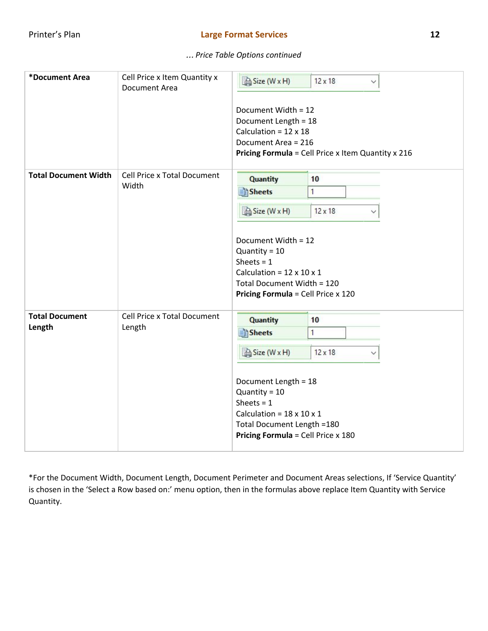… *Price Table Options continued*

| *Document Area                  | Cell Price x Item Quantity x<br><b>Document Area</b> | Size (W x H)<br>Document Width = 12<br>Document Length = 18<br>Calculation = $12 \times 18$<br>Document Area = 216                                                                                                               | $12 \times 18$<br>$\checkmark$<br>Pricing Formula = Cell Price x Item Quantity x 216 |
|---------------------------------|------------------------------------------------------|----------------------------------------------------------------------------------------------------------------------------------------------------------------------------------------------------------------------------------|--------------------------------------------------------------------------------------|
| <b>Total Document Width</b>     | Cell Price x Total Document<br>Width                 | <b>Quantity</b><br><b>Sheets</b><br>Size (W x H)<br>Document Width = 12<br>Quantity = $10$<br>Sheets = $1$<br>Calculation = $12 \times 10 \times 1$<br>Total Document Width = 120<br><b>Pricing Formula = Cell Price x 120</b>   | 10<br>1<br>$12 \times 18$                                                            |
| <b>Total Document</b><br>Length | Cell Price x Total Document<br>Length                | <b>Quantity</b><br><b>Sheets</b><br>Size (W x H)<br>Document Length = 18<br>Quantity = $10$<br>Sheets = $1$<br>Calculation = $18 \times 10 \times 1$<br>Total Document Length = 180<br><b>Pricing Formula = Cell Price x 180</b> | 10<br>1<br>$12 \times 18$                                                            |

\*For the Document Width, Document Length, Document Perimeter and Document Areas selections, If 'Service Quantity' is chosen in the 'Select a Row based on:' menu option, then in the formulas above replace Item Quantity with Service Quantity.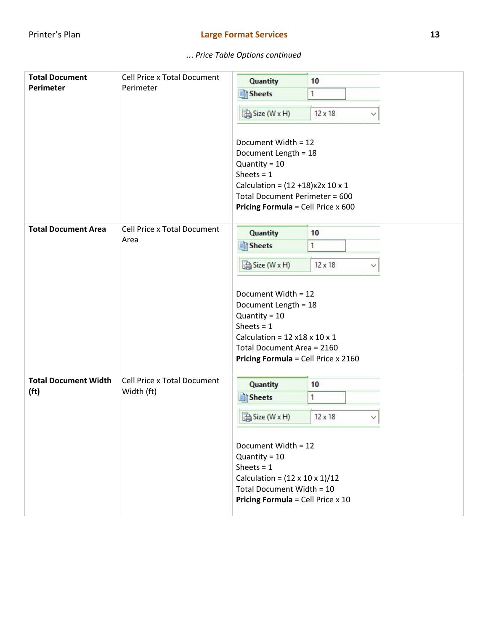| <b>Total Document</b><br><b>Perimeter</b>        | <b>Cell Price x Total Document</b><br>Perimeter | <b>Quantity</b><br><b>Sheets</b><br>Size (W x H)<br>Document Width = 12<br>Document Length = 18<br>Quantity = $10$<br>Sheets = $1$<br>Calculation = $(12 + 18)x2x 10x 1$<br>Total Document Perimeter = 600<br>Pricing Formula = Cell Price x 600 | 10<br>1<br>$12 \times 18$<br>◡ |
|--------------------------------------------------|-------------------------------------------------|--------------------------------------------------------------------------------------------------------------------------------------------------------------------------------------------------------------------------------------------------|--------------------------------|
| <b>Total Document Area</b>                       | <b>Cell Price x Total Document</b>              | <b>Quantity</b>                                                                                                                                                                                                                                  | 10                             |
|                                                  | Area                                            | Sheets                                                                                                                                                                                                                                           | 1                              |
|                                                  |                                                 | Size (W x H)<br>Document Width = 12<br>Document Length = 18<br>Quantity = $10$<br>Sheets = $1$<br>Calculation = $12 \times 18 \times 10 \times 1$<br>Total Document Area = 2160<br>Pricing Formula = Cell Price x 2160                           | $12 \times 18$<br>✓            |
| <b>Total Document Width</b><br>(f <sup>t</sup> ) | Cell Price x Total Document<br>Width (ft)       | <b>Quantity</b><br><b>Sheets</b><br>Size (W x H)<br>Document Width = 12<br>Quantity = $10$<br>Sheets = $1$<br>Calculation = $(12 \times 10 \times 1)/12$<br>Total Document Width = 10<br><b>Pricing Formula</b> = Cell Price $x$ 10              | 10<br>1<br>$12 \times 18$      |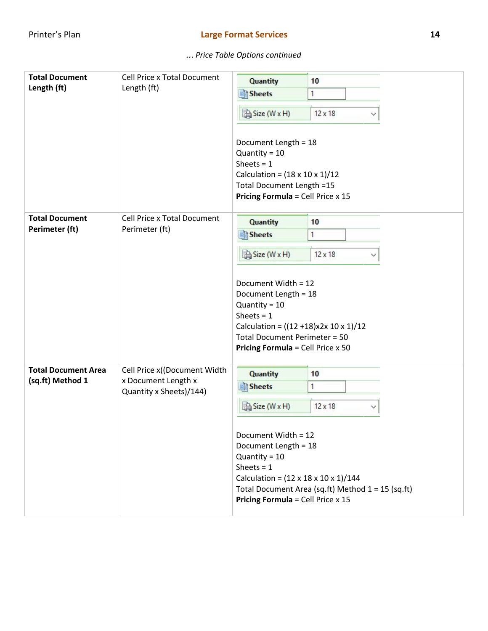| <b>Total Document</b>      | <b>Cell Price x Total Document</b>             | <b>Quantity</b>                                                                                                                                                                                               | 10                                                |
|----------------------------|------------------------------------------------|---------------------------------------------------------------------------------------------------------------------------------------------------------------------------------------------------------------|---------------------------------------------------|
| Length (ft)                | Length (ft)                                    | Sheets                                                                                                                                                                                                        | 1                                                 |
|                            |                                                | Size (W x H)                                                                                                                                                                                                  | $12 \times 18$                                    |
|                            |                                                | Document Length = 18<br>Quantity = $10$<br>Sheets = $1$<br>Calculation = $(18 \times 10 \times 1)/12$<br>Total Document Length =15<br><b>Pricing Formula = Cell Price x 15</b>                                |                                                   |
| <b>Total Document</b>      | <b>Cell Price x Total Document</b>             | <b>Quantity</b>                                                                                                                                                                                               | 10                                                |
| Perimeter (ft)             | Perimeter (ft)                                 | Sheets                                                                                                                                                                                                        | 1                                                 |
|                            |                                                | Size (W x H)                                                                                                                                                                                                  | $12 \times 18$                                    |
|                            |                                                | Document Width = 12<br>Document Length = 18<br>Quantity = $10$<br>Sheets = $1$<br>Calculation = $((12 + 18)x2x 10x 1)/12$<br><b>Total Document Perimeter = 50</b><br><b>Pricing Formula = Cell Price x 50</b> |                                                   |
| <b>Total Document Area</b> | Cell Price x((Document Width                   | <b>Quantity</b>                                                                                                                                                                                               | 10                                                |
| (sq.ft) Method 1           | x Document Length x<br>Quantity x Sheets)/144) | <b>Sheets</b>                                                                                                                                                                                                 | 1                                                 |
|                            |                                                | Size (W x H)                                                                                                                                                                                                  | $12 \times 18$                                    |
|                            |                                                | Document Width = 12<br>Document Length = 18<br>Quantity = $10$<br>Sheets = $1$<br>Calculation = $(12 \times 18 \times 10 \times 1)/144$<br><b>Pricing Formula = Cell Price x 15</b>                           | Total Document Area (sq.ft) Method 1 = 15 (sq.ft) |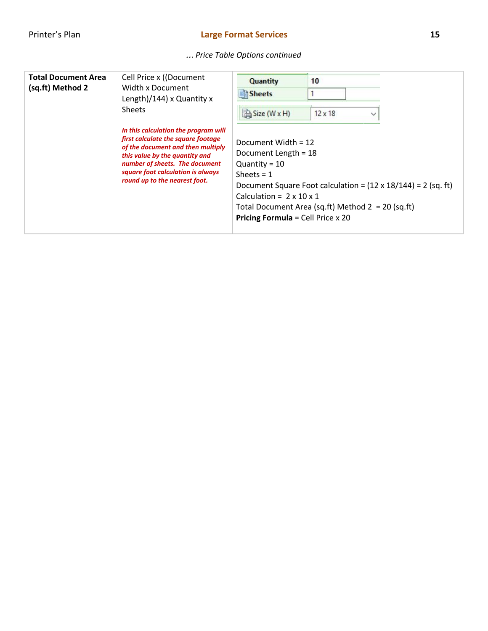| <b>Total Document Area</b><br>(sq.ft) Method 2 | Cell Price x ((Document<br>Width x Document<br>Length)/144) x Quantity x<br><b>Sheets</b>                                                                                                                                                                 | <b>Quantity</b><br>Sheets<br>Size (W x H)                                                                                                                              | 10<br>$12 \times 18$<br>$\check{~}$                                                                                         |
|------------------------------------------------|-----------------------------------------------------------------------------------------------------------------------------------------------------------------------------------------------------------------------------------------------------------|------------------------------------------------------------------------------------------------------------------------------------------------------------------------|-----------------------------------------------------------------------------------------------------------------------------|
|                                                | In this calculation the program will<br>first calculate the square footage<br>of the document and then multiply<br>this value by the quantity and<br>number of sheets. The document<br>square foot calculation is always<br>round up to the nearest foot. | Document Width = $12$<br>Document Length = 18<br>Quantity = $10$<br>Sheets $= 1$<br>Calculation = $2 \times 10 \times 1$<br><b>Pricing Formula</b> = Cell Price $x$ 20 | Document Square Foot calculation = $(12 \times 18/144)$ = 2 (sq. ft)<br>Total Document Area (sq.ft) Method $2 = 20$ (sq.ft) |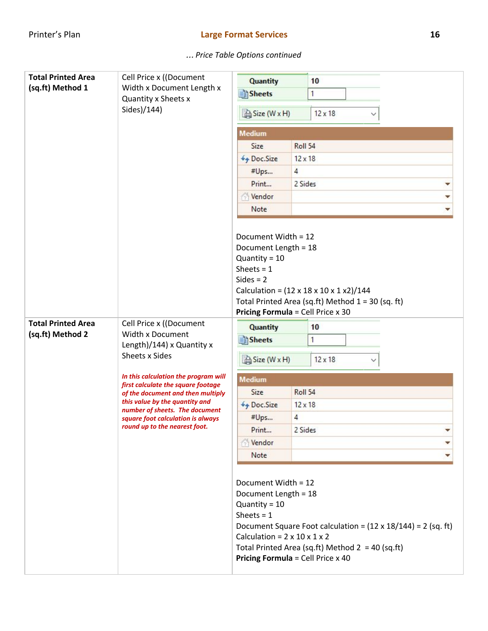| <b>Total Printed Area</b><br>(sq.ft) Method 1 | Cell Price x ((Document<br>Width x Document Length x<br>Quantity x Sheets x<br>Sides)/144)                                                                                                                                                                                                                                   | <b>Quantity</b><br>10<br>Sheets <sup></sup><br>1<br>Size (W x H)<br>$12 \times 18$                                                                                          |                |                                                                                                                            |  |
|-----------------------------------------------|------------------------------------------------------------------------------------------------------------------------------------------------------------------------------------------------------------------------------------------------------------------------------------------------------------------------------|-----------------------------------------------------------------------------------------------------------------------------------------------------------------------------|----------------|----------------------------------------------------------------------------------------------------------------------------|--|
|                                               |                                                                                                                                                                                                                                                                                                                              | <b>Medium</b>                                                                                                                                                               |                |                                                                                                                            |  |
|                                               |                                                                                                                                                                                                                                                                                                                              | Size                                                                                                                                                                        | Roll 54        |                                                                                                                            |  |
|                                               |                                                                                                                                                                                                                                                                                                                              | ++ Doc.Size                                                                                                                                                                 | $12 \times 18$ |                                                                                                                            |  |
|                                               |                                                                                                                                                                                                                                                                                                                              | #Ups                                                                                                                                                                        | 4              |                                                                                                                            |  |
|                                               |                                                                                                                                                                                                                                                                                                                              | Print                                                                                                                                                                       | 2 Sides        |                                                                                                                            |  |
|                                               |                                                                                                                                                                                                                                                                                                                              | Vendor                                                                                                                                                                      |                |                                                                                                                            |  |
|                                               |                                                                                                                                                                                                                                                                                                                              | Note                                                                                                                                                                        |                |                                                                                                                            |  |
|                                               |                                                                                                                                                                                                                                                                                                                              | Document Length = 18<br>Quantity = $10$<br>Sheets = $1$<br>$Sides = 2$<br><b>Pricing Formula = Cell Price x 30</b>                                                          |                | Calculation = $(12 \times 18 \times 10 \times 1 \times 2)/144$<br>Total Printed Area (sq.ft) Method 1 = 30 (sq. ft)        |  |
| <b>Total Printed Area</b>                     | Cell Price x ((Document                                                                                                                                                                                                                                                                                                      | <b>Quantity</b>                                                                                                                                                             |                | 10                                                                                                                         |  |
| (sq.ft) Method 2                              | Width x Document<br>Length)/144) x Quantity x<br>Sheets x Sides<br>In this calculation the program will<br>first calculate the square footage<br>of the document and then multiply<br>this value by the quantity and<br>number of sheets. The document<br>square foot calculation is always<br>round up to the nearest foot. | Sheets <sup></sup><br>1                                                                                                                                                     |                |                                                                                                                            |  |
|                                               |                                                                                                                                                                                                                                                                                                                              | Size (W x H)                                                                                                                                                                |                | $12 \times 18$                                                                                                             |  |
|                                               |                                                                                                                                                                                                                                                                                                                              | <b>Medium</b>                                                                                                                                                               |                |                                                                                                                            |  |
|                                               |                                                                                                                                                                                                                                                                                                                              | Size                                                                                                                                                                        | Roll 54        |                                                                                                                            |  |
|                                               |                                                                                                                                                                                                                                                                                                                              | $\n  q Doc.Size\n$                                                                                                                                                          | $12 \times 18$ |                                                                                                                            |  |
|                                               |                                                                                                                                                                                                                                                                                                                              | #Ups                                                                                                                                                                        | 4              |                                                                                                                            |  |
|                                               |                                                                                                                                                                                                                                                                                                                              | Print                                                                                                                                                                       | 2 Sides        |                                                                                                                            |  |
|                                               |                                                                                                                                                                                                                                                                                                                              | Vendor                                                                                                                                                                      |                |                                                                                                                            |  |
|                                               |                                                                                                                                                                                                                                                                                                                              | Note                                                                                                                                                                        |                |                                                                                                                            |  |
|                                               |                                                                                                                                                                                                                                                                                                                              | Document Width = 12<br>Document Length = 18<br>Quantity = $10$<br>Sheets = $1$<br>Calculation = $2 \times 10 \times 1 \times 2$<br><b>Pricing Formula = Cell Price x 40</b> |                | Document Square Foot calculation = $(12 \times 18/144)$ = 2 (sq. ft)<br>Total Printed Area (sq.ft) Method $2 = 40$ (sq.ft) |  |